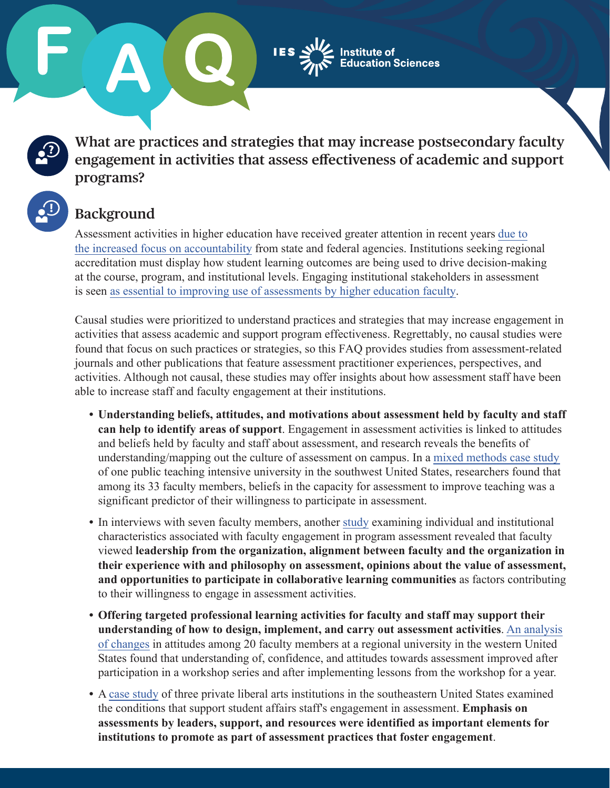ucation Sciences

**What are practices and strategies that may increase postsecondary faculty engagement in activities that assess efectiveness of academic and support programs?** 

## **Background**

Assessment activities in higher education have received greater attention in recent years [due to](http://muse.jhu.edu/journals/rhe/summary/v039/39.3.fuller.html)  [the increased focus on accountability](http://muse.jhu.edu/journals/rhe/summary/v039/39.3.fuller.html) from state and federal agencies. Institutions seeking regional accreditation must display how student learning outcomes are being used to drive decision-making at the course, program, and institutional levels. Engaging institutional stakeholders in assessment is seen [as essential to improving use of assessments by higher education](https://eric.ed.gov/?q=closing+the+assessment+loop+banta+blaich&pr=on&id=EJ911623) faculty.

Causal studies were prioritized to understand practices and strategies that may increase engagement in activities that assess academic and support program effectiveness. Regrettably, no causal studies were found that focus on such practices or strategies, so this FAQ provides studies from assessment-related journals and other publications that feature assessment practitioner experiences, perspectives, and activities. Although not causal, these studies may offer insights about how assessment staff have been able to increase staff and faculty engagement at their institutions.

- **Understanding beliefs, attitudes, and motivations about assessment held by faculty and staff can help to identify areas of support**. Engagement in assessment activities is linked to attitudes and beliefs held by faculty and staff about assessment, and research reveals the benefits of understanding/mapping out the culture of assessment on campus. In a [mixed methods](https://eric.ed.gov/?id=EJ1198584) case study of one public teaching intensive university in the southwest United States, researchers found that among its 33 faculty members, beliefs in the capacity for assessment to improve teaching was a significant predictor of their willingness to participate in assessment.
- In interviews with seven faculty members, another [study](https://www.tandfonline.com/doi/abs/10.1080/02602938.2013.855998) examining individual and institutional characteristics associated with faculty engagement in program assessment revealed that faculty viewed **leadership from the organization, alignment between faculty and the organization in their experience with and philosophy on assessment, opinions about the value of assessment, and opportunities to participate in collaborative learning communities** as factors contributing to their willingness to engage in assessment activities.
- **Offering targeted professional learning activities for faculty and staff may supp[ort their](https://eric.ed.gov/?id=EJ922283) understanding of how to design, implement, and carry out assessment activities**. An analysis of [changes](https://eric.ed.gov/?id=EJ922283) in attitudes among 20 faculty members at a regional university in the western United States found that understanding of, confidence, and attitudes towards assessment improved after participation in a workshop series and after implementing lessons from the workshop for a year.
- A [case study](https://doi.org/10.2202/1949-6605.6073) of three private liberal arts institutions in the southeastern United States examined the conditions that support student affairs staff's engagement in assessment. **Emphasis on assessments by leaders, support, and resources were identified as important elements for institutions to promote as part of assessment practices that foster engagement**.